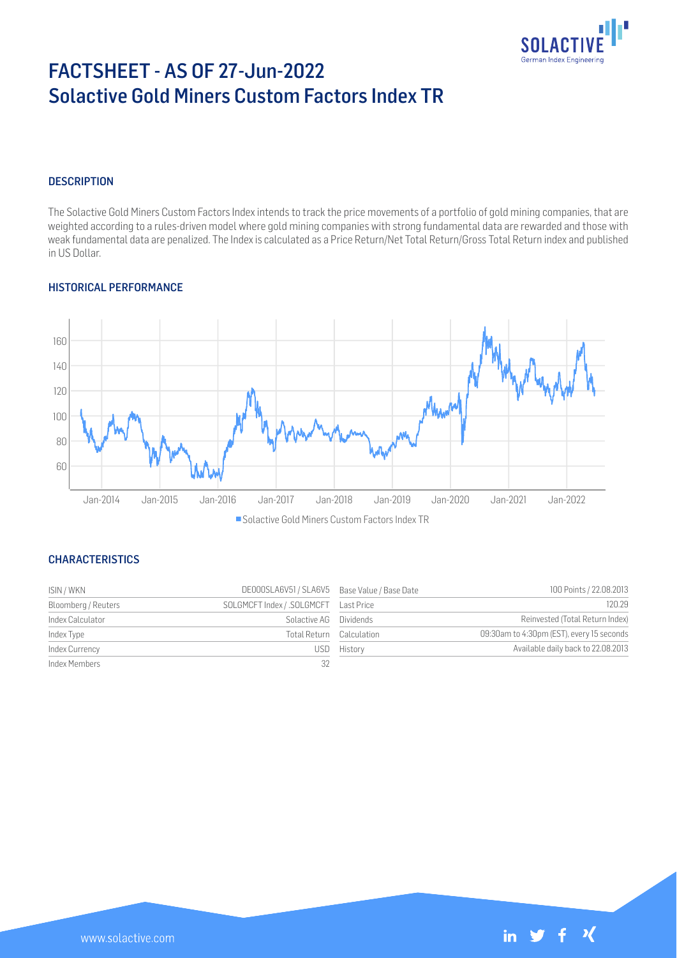

# FACTSHEET - AS OF 27-Jun-2022 Solactive Gold Miners Custom Factors Index TR

## **DESCRIPTION**

The Solactive Gold Miners Custom Factors Index intends to track the price movements of a portfolio of gold mining companies, that are weighted according to a rules-driven model where gold mining companies with strong fundamental data are rewarded and those with weak fundamental data are penalized. The Index is calculated as a Price Return/Net Total Return/Gross Total Return index and published in US Dollar.

## HISTORICAL PERFORMANCE



Solactive Gold Miners Custom Factors Index TR

## **CHARACTERISTICS**

| ISIN / WKN          | DE000SLA6V51 / SLA6V5 Base Value / Base Date |                          | 100 Points / 22.08.2013                   |
|---------------------|----------------------------------------------|--------------------------|-------------------------------------------|
| Bloomberg / Reuters |                                              |                          | 120.29                                    |
| Index Calculator    | Solactive AG Dividends                       |                          | Reinvested (Total Return Index)           |
| Index Type          |                                              | Total Return Calculation | 09:30am to 4:30pm (EST), every 15 seconds |
| Index Currency      |                                              | USD History              | Available daily back to 22.08.2013        |
| Index Members       | 32                                           |                          |                                           |

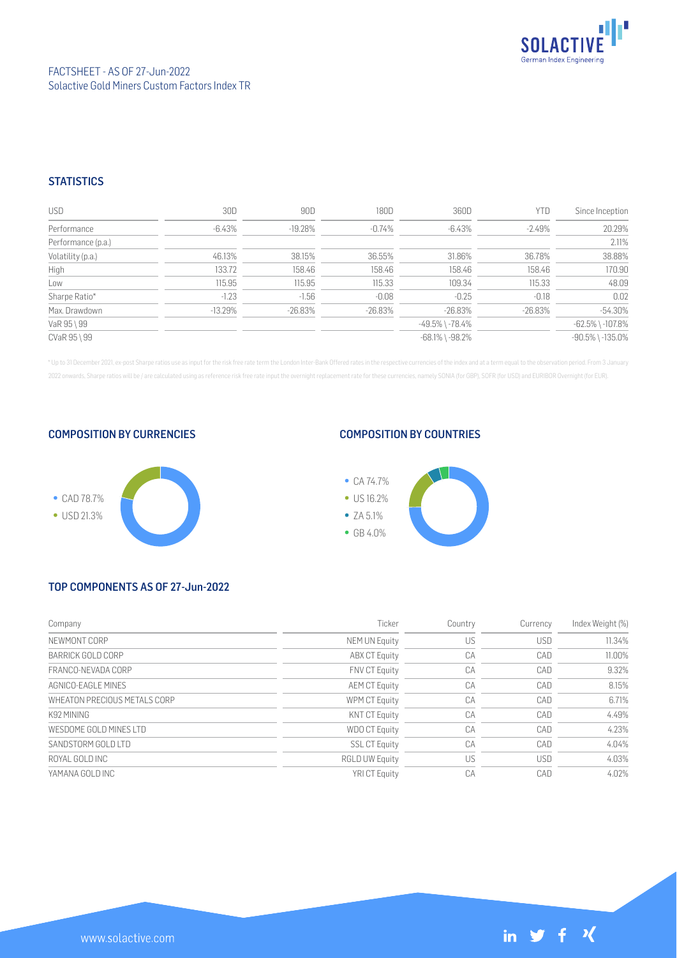

## **STATISTICS**

| USD                | 30D       | 90D       | 180D       | 360D                  | YTD        | Since Inception        |
|--------------------|-----------|-----------|------------|-----------------------|------------|------------------------|
| Performance        | -6.43%    | $-19.28%$ | $-0.74\%$  | -6.43%                | $-2.49%$   | 20.29%                 |
| Performance (p.a.) |           |           |            |                       |            | 2.11%                  |
| Volatility (p.a.)  | 46.13%    | 38.15%    | 36.55%     | 31.86%                | 36.78%     | 38.88%                 |
| High               | 133.72    | 158.46    | 158.46     | 158.46                | 158.46     | 170.90                 |
| Low                | 115.95    | 115.95    | 115.33     | 109.34                | 115.33     | 48.09                  |
| Sharpe Ratio*      | $-1.23$   | $-1.56$   | $-0.08$    | $-0.25$               | $-0.18$    | 0.02                   |
| Max. Drawdown      | $-13.29%$ | -26.83%   | $-26.83\%$ | $-26.83\%$            | $-26.83\%$ | $-54.30%$              |
| VaR 95 \ 99        |           |           |            | $-49.5\%$ \ $-78.4\%$ |            | $-62.5\%$ \ $-107.8\%$ |
| CVaR 95 \ 99       |           |           |            | $-68.1\%$ \ $-98.2\%$ |            | $-90.5\%$ \ $-135.0\%$ |

\* Up to 31 December 2021, ex-post Sharpe ratios use as input for the risk free rate term the London Inter-Bank Offered rates in the respective currencies of the index and at a term equal to the observation period. From 3 J 2022 onwards, Sharpe ratios will be / are calculated using as reference risk free rate input the overnight replacement rate for these currencies, namely SONIA (for GBP), SOFR (for USD) and EURIBOR Overnight (for EUR).

## COMPOSITION BY CURRENCIES



## COMPOSITION BY COUNTRIES



# TOP COMPONENTS AS OF 27-Jun-2022

| Company                      | Ticker                | Country | Currency   | Index Weight (%) |
|------------------------------|-----------------------|---------|------------|------------------|
| NEWMONT CORP                 | NEM UN Equity         | US      | <b>USD</b> | 11.34%           |
| BARRICK GOLD CORP            | <b>ABX CT Equity</b>  | CA      | CAD        | 11.00%           |
| FRANCO-NEVADA CORP           | <b>FNV CT Equity</b>  | CA      | CAD        | 9.32%            |
| AGNICO-FAGI F MINES          | <b>AEM CT Equity</b>  | CA      | CAD        | 8.15%            |
| WHEATON PRECIOUS METALS CORP | WPM CT Equity         | CA      | CAD        | 6.71%            |
| K92 MINING                   | <b>KNT CT Equity</b>  | CA      | CAD        | 4.49%            |
| WESDOME GOLD MINES LTD       | <b>WDO CT Equity</b>  | CA      | CAD        | 4.23%            |
| SANDSTORM GOLD LTD           | <b>SSL CT Equity</b>  | CA      | CAD        | 4.04%            |
| ROYAL GOLD INC               | <b>RGLD UW Equity</b> | US      | <b>USD</b> | 4.03%            |
| YAMANA GOLD INC              | <b>YRICT Equity</b>   | CA      | CAD        | 4.02%            |